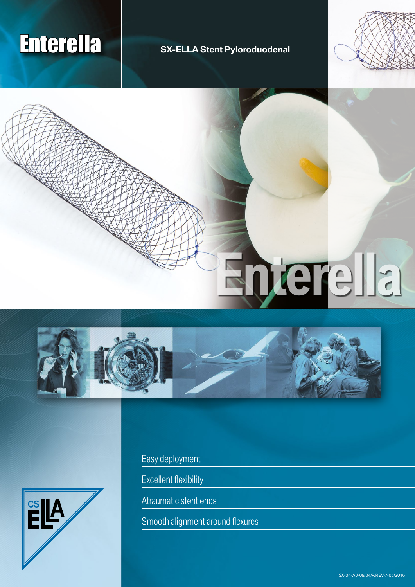## Enterella **SX-ELLA Stent Pyloroduodenal**



# **Enterella**





Easy deployment

Excellent flexibility

Atraumatic stent ends

Smooth alignment around flexures